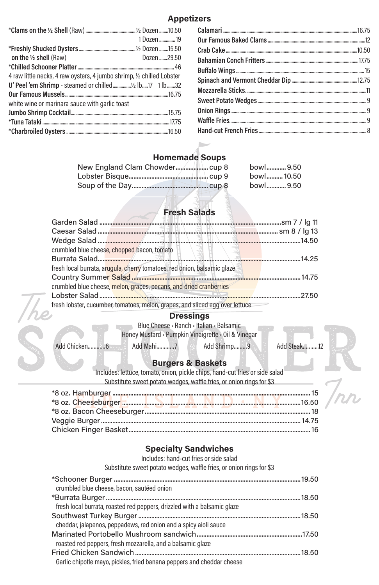## **Appetizers**

## **Homemade Soups**

| bowl 9.50  |
|------------|
| bowl 10.50 |
| bowl 9.50  |

# **Fresh Salads**

| fresh local burrata, arugula, cherry tomatoes, red onion, balsamic glaze           |  |
|------------------------------------------------------------------------------------|--|
| Country Summer Salad <i>with the Little Little Little Little Little</i> 2011 14.75 |  |
| crumbled blue cheese, melon, grapes, pecans, and dried cranberries                 |  |
|                                                                                    |  |
| fresh lobster, cucumber, tomatoes, melon, grapes, and sliced egg over lettuce      |  |

#### **Dressings**

Blue Cheese • Ranch • Italian • Balsamic

Honey Mustard • Pumpkin Vinaigrette • Oil & Vinegar

Add Chicken…………6 **Add Mahi…………7** Add Shrimp………9 Add Steak…………12

# **Burgers & Baskets**

Includes: lettuce, tomato, onion, pickle chips, hand-cut fries or side salad Substitute sweet potato wedges, waffle fries, or onion rings for \$3

#### **Specialty Sandwiches**

Includes: hand-cut fries or side salad

Substitute sweet potato wedges, waffle fries, or onion rings for \$3

\*Schooner Burger ...................................................................................................................19.50 crumbled blue cheese, bacon, sautéed onion \*Burrata Burger........................................................................................................................18.50 fresh local burrata, roasted red peppers, drizzled with a balsamic glaze Southwest Turkey Burger....................................................................................................18.50 cheddar, jalapenos, peppadews, red onion and a spicy aioli sauce Marinated Portobello Mushroom sandwich.................................................................17.50 roasted red peppers, fresh mozzarella, and a balsamic glaze Fried Chicken Sandwich......................................................................................................18.50 Garlic chipotle mayo, pickles, fried banana peppers and cheddar cheese

|                                                                        | 1 Dozen  19 |
|------------------------------------------------------------------------|-------------|
|                                                                        |             |
| on the $\frac{1}{2}$ shell (Raw)                                       | Dozen 29.50 |
|                                                                        |             |
| 4 raw little necks, 4 raw oysters, 4 jumbo shrimp, 1/2 chilled Lobster |             |
|                                                                        |             |
|                                                                        |             |
| white wine or marinara sauce with garlic toast                         |             |
|                                                                        |             |
|                                                                        |             |
|                                                                        |             |